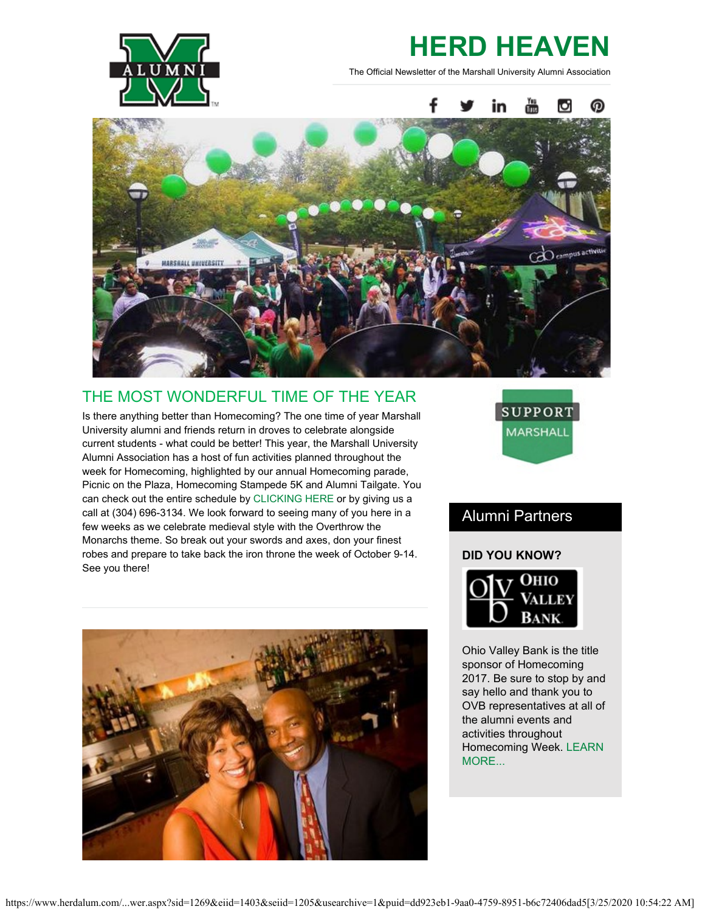

# **HERD HEAVEN**

The Official Newsletter of the Marshall University Alumni Association



### THE MOST WONDERFUL TIME OF THE YEAR

Is there anything better than Homecoming? The one time of year Marshall University alumni and friends return in droves to celebrate alongside current students - what could be better! This year, the Marshall University Alumni Association has a host of fun activities planned throughout the week for Homecoming, highlighted by our annual Homecoming parade, Picnic on the Plaza, Homecoming Stampede 5K and Alumni Tailgate. You can check out the entire schedule by [CLICKING HERE](http://www.herdalum.com/s/1269/index.aspx?sid=1269&gid=1&pgid=949) or by giving us a call at (304) 696-3134. We look forward to seeing many of you here in a few weeks as we celebrate medieval style with the Overthrow the Monarchs theme. So break out your swords and axes, don your finest robes and prepare to take back the iron throne the week of October 9-14. See you there!



### Alumni Partners

#### **DID YOU KNOW?**



Ohio Valley Bank is the title sponsor of Homecoming 2017. Be sure to stop by and say hello and thank you to OVB representatives at all of the alumni events and activities throughout Homecoming Week. [LEARN](https://www.ovbc.com/) [MORE...](https://www.ovbc.com/)

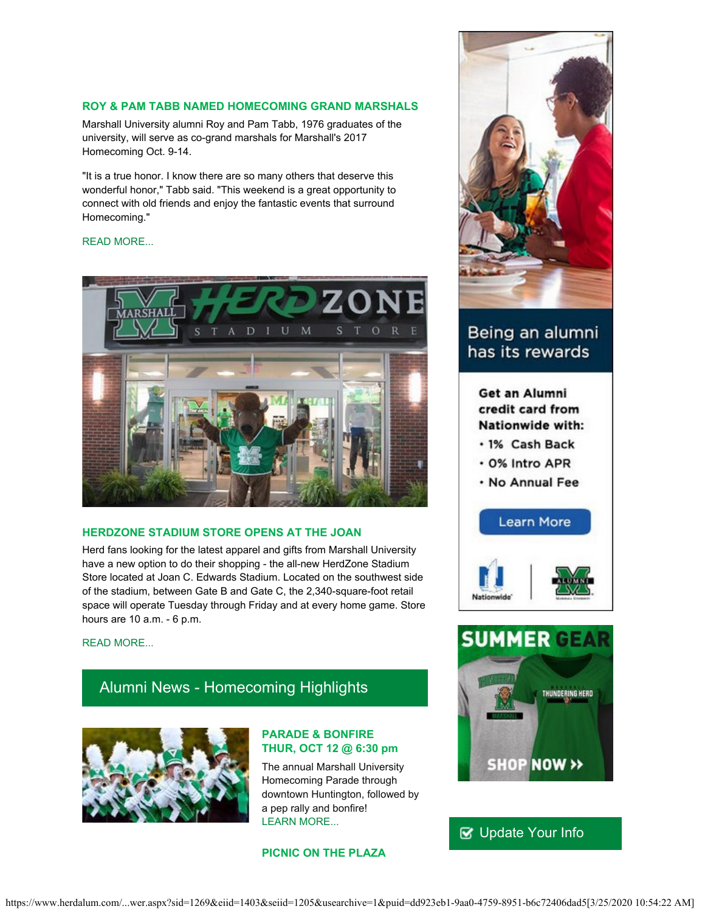#### **ROY & PAM TABB NAMED HOMECOMING GRAND MARSHALS**

Marshall University alumni Roy and Pam Tabb, 1976 graduates of the university, will serve as co-grand marshals for Marshall's 2017 Homecoming Oct. 9-14.

"It is a true honor. I know there are so many others that deserve this wonderful honor," Tabb said. "This weekend is a great opportunity to connect with old friends and enjoy the fantastic events that surround Homecoming."

#### [READ MORE...](https://www.herdalum.com/s/1269/images/editor_documents/lc/herd_heaven/grand_marshals.docx.pdf)



#### **HERDZONE STADIUM STORE OPENS AT THE JOAN**

Herd fans looking for the latest apparel and gifts from Marshall University have a new option to do their shopping - the all-new HerdZone Stadium Store located at Joan C. Edwards Stadium. Located on the southwest side of the stadium, between Gate B and Gate C, the 2,340-square-foot retail space will operate Tuesday through Friday and at every home game. Store hours are 10 a.m. - 6 p.m.

#### [READ MORE...](http://www.wsaz.com/content/news/Herdzone-Stadium-Store-opens-at-Marshall-University-444734683.html)

### Alumni News - Homecoming Highlights



#### **PARADE & BONFIRE THUR, OCT 12 @ 6:30 pm**

The annual Marshall University Homecoming Parade through downtown Huntington, followed by a pep rally and bonfire! [LEARN MORE...](http://www.marshall.edu/sga/homecoming/)

#### **PICNIC ON THE PLAZA**



### Being an alumni has its rewards

Get an Alumni credit card from Nationwide with:

- · 1% Cash Back
- . 0% Intro APR
- . No Annual Fee





### **V** [Update Your Info](http://www.herdalum.com/s/1269/index.aspx?sid=1269&gid=1&pgid=6&cid=41#/Search/Simple)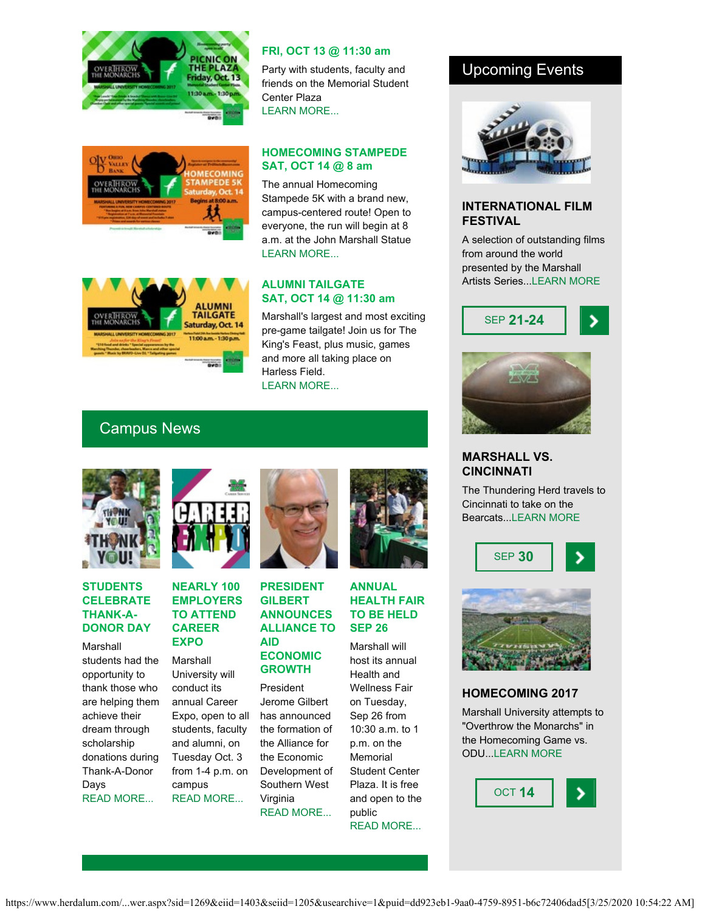



#### **FRI, OCT 13 @ 11:30 am**

Party with students, faculty and friends on the Memorial Student Center Plaza [LEARN MORE...](http://www.herdalum.com/s/1269/index.aspx?sid=1269&gid=1&pgid=949)

#### **HOMECOMING STAMPEDE SAT, OCT 14 @ 8 am**

The annual Homecoming Stampede 5K with a brand new, campus-centered route! Open to everyone, the run will begin at 8 a.m. at the John Marshall Statue [LEARN MORE...](http://www.tristateracer.com/event.php?RaceID=9594)



#### **ALUMNI TAILGATE SAT, OCT 14 @ 11:30 am**

Marshall's largest and most exciting pre-game tailgate! Join us for The King's Feast, plus music, games and more all taking place on Harless Field. [LEARN MORE...](https://securelb.imodules.com/s/1269/index.aspx?sid=1269&gid=1&pgid=1089)

### Upcoming Events



#### **INTERNATIONAL FILM FESTIVAL**

A selection of outstanding films from around the world presented by the Marshall Artists Series..[.LEARN MORE](http://www.marshall.edu/muartistseries/festivals#fall)





#### **MARSHALL VS. CINCINNATI**

The Thundering Herd travels to Cincinnati to take on the Bearcats... LEARN MORE





#### **HOMECOMING 2017**

Marshall University attempts to "Overthrow the Monarchs" in the Homecoming Game vs. ODU..[.LEARN MORE](http://www.herdalum.com/s/1269/index.aspx?sid=1269&gid=1&pgid=949)

OCT **14**

### Campus News



#### **STUDENTS CELEBRATE THANK-A-DONOR DAY**

Marshall students had the opportunity to thank those who are helping them achieve their dream through scholarship donations during Thank-A-Donor Days [READ MORE...](http://www.herald-dispatch.com/news/marshall_university/marshall-students-write-thank-yous-to-donors/article_fe907fa2-5010-5da5-9405-b1c865886f8d.html)



#### **NEARLY 100 EMPLOYERS TO ATTEND CAREER EXPO**

Marshall University will conduct its annual Career Expo, open to all students, faculty and alumni, on Tuesday Oct. 3 from 1-4 p.m. on campus [READ MORE...](https://www.marshall.edu/ucomm/2017/09/19/90-employers-expected-attend-fall-career-expo/)



#### **PRESIDENT GILBERT ANNOUNCES ALLIANCE TO AID ECONOMIC GROWTH**

President Jerome Gilbert has announced the formation of the Alliance for the Economic Development of Southern West Virginia [READ MORE...](https://www.marshall.edu/ucomm/2017/09/01/president-gilbert-announces-alliance-higher-education-institutions-aid-economic-development-southern-west-virginia/)

#### **ANNUAL HEALTH FAIR TO BE HELD SEP 26**

Marshall will host its annual Health and Wellness Fair on Tuesday, Sep 26 from 10:30 a.m. to 1 p.m. on the **Memorial** Student Center Plaza. It is free and open to the public [READ MORE...](https://www.marshall.edu/ucomm/2017/09/19/annual-health-wellness-fair-held-sept-26/)